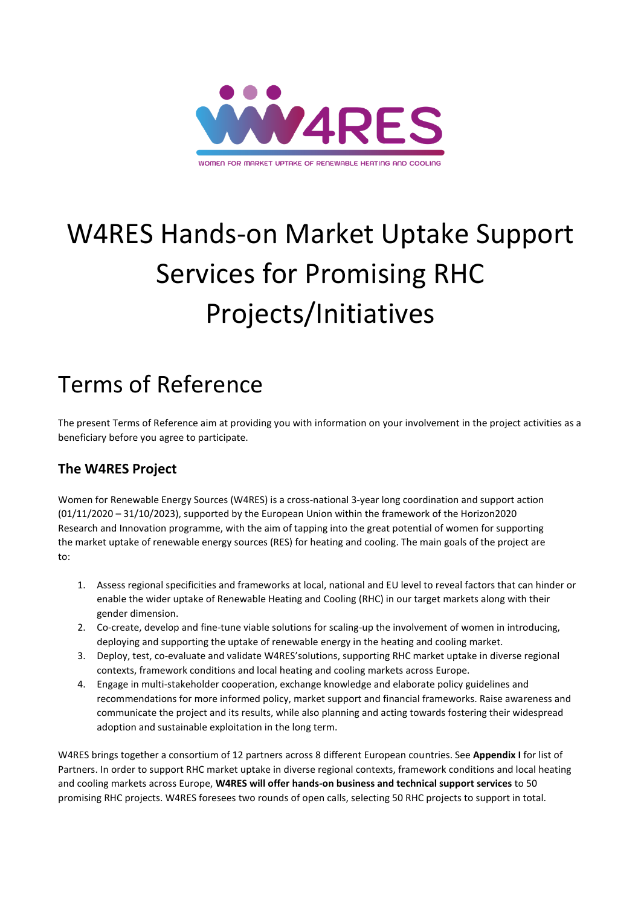

# W4RES Hands-on Market Uptake Support Services for Promising RHC Projects/Initiatives

## Terms of Reference

The present Terms of Reference aim at providing you with information on your involvement in the project activities as a beneficiary before you agree to participate.

## **The W4RES Project**

Women for Renewable Energy Sources (W4RES) is a cross-national 3-year long coordination and support action (01/11/2020 – 31/10/2023), supported by the European Union within the framework of the Horizon2020 Research and Innovation programme, with the aim of tapping into the great potential of women for supporting the market uptake of renewable energy sources (RES) for heating and cooling. The main goals of the project are to:

- 1. Assess regional specificities and frameworks at local, national and EU level to reveal factors that can hinder or enable the wider uptake of Renewable Heating and Cooling (RHC) in our target markets along with their gender dimension.
- 2. Co-create, develop and fine-tune viable solutions for scaling-up the involvement of women in introducing, deploying and supporting the uptake of renewable energy in the heating and cooling market.
- 3. Deploy, test, co-evaluate and validate W4RES'solutions, supporting RHC market uptake in diverse regional contexts, framework conditions and local heating and cooling markets across Europe.
- 4. Engage in multi-stakeholder cooperation, exchange knowledge and elaborate policy guidelines and recommendations for more informed policy, market support and financial frameworks. Raise awareness and communicate the project and its results, while also planning and acting towards fostering their widespread adoption and sustainable exploitation in the long term.

W4RES brings together a consortium of 12 partners across 8 different European countries. See **[Appendix I](#page-7-0)** for list of Partners. In order to support RHC market uptake in diverse regional contexts, framework conditions and local heating and cooling markets across Europe, **W4RES will offer hands-on business and technical support services** to 50 promising RHC projects. W4RES foresees two rounds of open calls, selecting 50 RHC projects to support in total.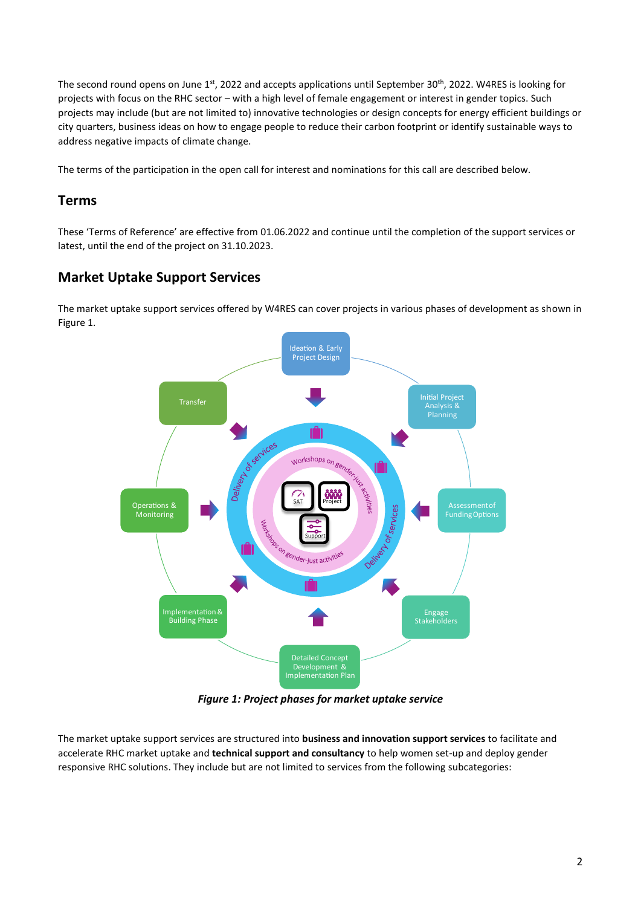The second round opens on June  $1^{st}$ , 2022 and accepts applications until September 30<sup>th</sup>, 2022. W4RES is looking for projects with focus on the RHC sector – with a high level of female engagement or interest in gender topics. Such projects may include (but are not limited to) innovative technologies or design concepts for energy efficient buildings or city quarters, business ideas on how to engage people to reduce their carbon footprint or identify sustainable ways to address negative impacts of climate change.

The terms of the participation in the open call for interest and nominations for this call are described below.

## **Terms**

These 'Terms of Reference' are effective from 01.06.2022 and continue until the completion of the support services or latest, until the end of the project on 31.10.2023.

## **Market Uptake Support Services**

The market uptake support services offered by W4RES can cover projects in various phases of development as shown in [Figure 1.](#page-1-0)



*Figure 1: Project phases for market uptake service*

<span id="page-1-0"></span>The market uptake support services are structured into **business and innovation support services** to facilitate and accelerate RHC market uptake and **technical support and consultancy** to help women set-up and deploy gender responsive RHC solutions. They include but are not limited to services from the following subcategories: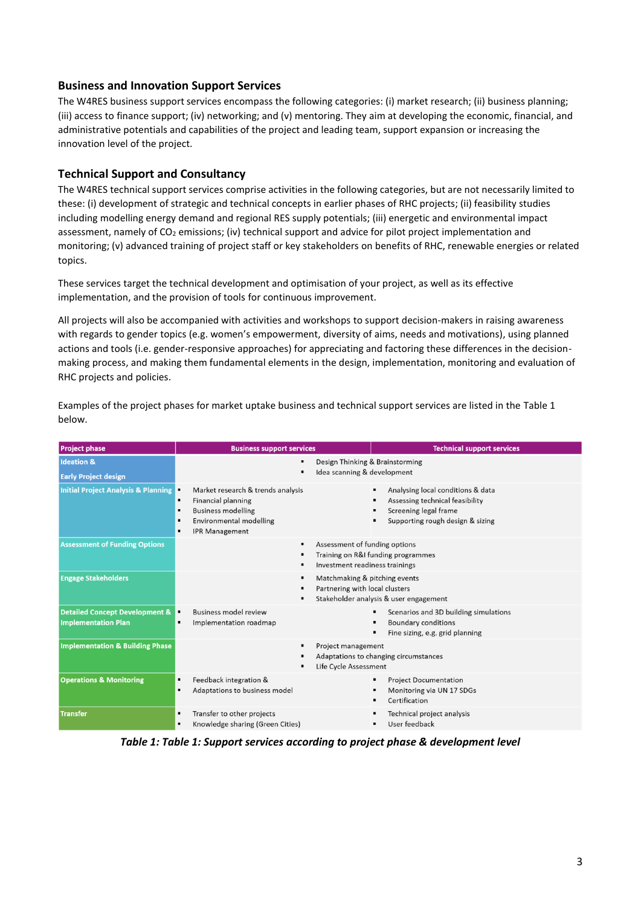## **Business and Innovation Support Services**

The W4RES business support services encompass the following categories: (i) market research; (ii) business planning; (iii) access to finance support; (iv) networking; and (v) mentoring. They aim at developing the economic, financial, and administrative potentials and capabilities of the project and leading team, support expansion or increasing the innovation level of the project.

## **Technical Support and Consultancy**

The W4RES technical support services comprise activities in the following categories, but are not necessarily limited to these: (i) development of strategic and technical concepts in earlier phases of RHC projects; (ii) feasibility studies including modelling energy demand and regional RES supply potentials; (iii) energetic and environmental impact assessment, namely of  $CO<sub>2</sub>$  emissions; (iv) technical support and advice for pilot project implementation and monitoring; (v) advanced training of project staff or key stakeholders on benefits of RHC, renewable energies or related topics.

These services target the technical development and optimisation of your project, as well as its effective implementation, and the provision of tools for continuous improvement.

All projects will also be accompanied with activities and workshops to support decision-makers in raising awareness with regards to gender topics (e.g. women's empowerment, diversity of aims, needs and motivations), using planned actions and tools (i.e. gender-responsive approaches) for appreciating and factoring these differences in the decisionmaking process, and making them fundamental elements in the design, implementation, monitoring and evaluation of RHC projects and policies.

Examples of the project phases for market uptake business and technical support services are listed in the [Table 1](#page-2-0) below.

| <b>Project phase</b>                                                    | <b>Business support services</b>                                                                                                                                                            | <b>Technical support services</b>                                                                                                 |  |  |  |
|-------------------------------------------------------------------------|---------------------------------------------------------------------------------------------------------------------------------------------------------------------------------------------|-----------------------------------------------------------------------------------------------------------------------------------|--|--|--|
| <b>Ideation &amp;</b><br><b>Early Project design</b>                    | Design Thinking & Brainstorming<br>Idea scanning & development<br>$\blacksquare$                                                                                                            |                                                                                                                                   |  |  |  |
| <b>Initial Project Analysis &amp; Planning</b>                          | Market research & trends analysis<br>▪<br><b>Financial planning</b><br><b>Business modelling</b><br>$\qquad \qquad \blacksquare$<br><b>Environmental modelling</b><br><b>IPR Management</b> | Analysing local conditions & data<br>Assessing technical feasibility<br>Screening legal frame<br>Supporting rough design & sizing |  |  |  |
| <b>Assessment of Funding Options</b>                                    | ٠                                                                                                                                                                                           | Assessment of funding options<br>Training on R&I funding programmes<br>Investment readiness trainings                             |  |  |  |
| <b>Engage Stakeholders</b>                                              | $\blacksquare$                                                                                                                                                                              | Matchmaking & pitching events<br>Partnering with local clusters<br>Stakeholder analysis & user engagement                         |  |  |  |
| <b>Detailed Concept Development &amp;</b><br><b>Implementation Plan</b> | <b>Business model review</b><br>Implementation roadmap                                                                                                                                      | Scenarios and 3D building simulations<br><b>Boundary conditions</b><br>Fine sizing, e.g. grid planning                            |  |  |  |
| <b>Implementation &amp; Building Phase</b>                              |                                                                                                                                                                                             | Project management<br>Adaptations to changing circumstances<br>Life Cycle Assessment                                              |  |  |  |
| <b>Operations &amp; Monitoring</b>                                      | Feedback integration &<br>$\blacksquare$<br>Adaptations to business model                                                                                                                   | <b>Project Documentation</b><br>Monitoring via UN 17 SDGs<br>Certification                                                        |  |  |  |
| <b>Transfer</b>                                                         | Transfer to other projects<br>٠<br>Knowledge sharing (Green Cities)                                                                                                                         | Technical project analysis<br>User feedback                                                                                       |  |  |  |

<span id="page-2-0"></span>*Table 1: Table 1: Support services according to project phase & development level*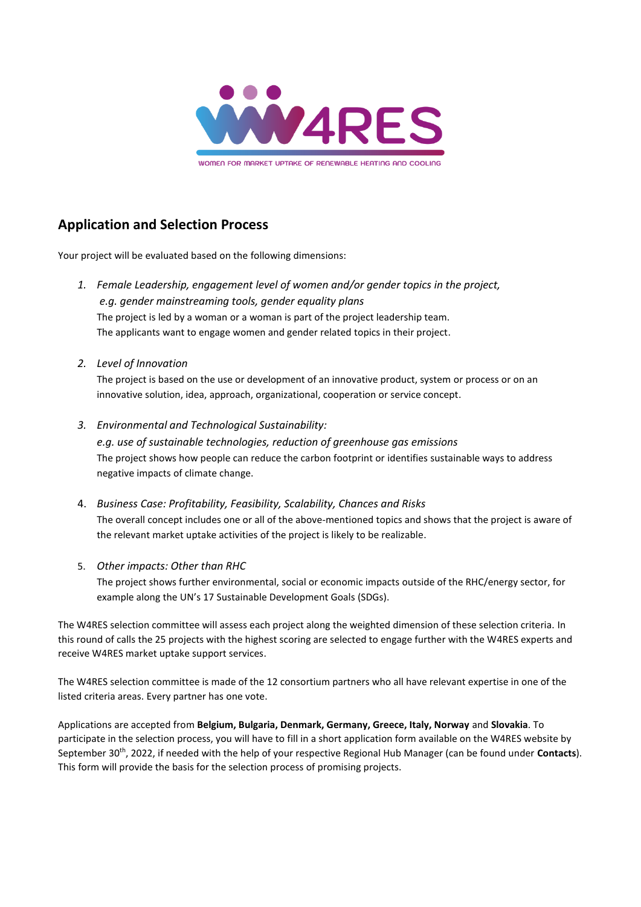

WOMEN FOR MARKET UPTAKE OF RENEWABLE HEATING AND COOLING

## **Application and Selection Process**

Your project will be evaluated based on the following dimensions:

- *1. Female Leadership, engagement level of women and/or gender topics in the project, e.g. gender mainstreaming tools, gender equality plans* The project is led by a woman or a woman is part of the project leadership team. The applicants want to engage women and gender related topics in their project.
- *2. Level of Innovation*

The project is based on the use or development of an innovative product, system or process or on an innovative solution, idea, approach, organizational, cooperation or service concept.

*3. Environmental and Technological Sustainability:* 

*e.g. use of sustainable technologies, reduction of greenhouse gas emissions*  The project shows how people can reduce the carbon footprint or identifies sustainable ways to address negative impacts of climate change.

- 4. *Business Case: Profitability, Feasibility, Scalability, Chances and Risks* The overall concept includes one or all of the above-mentioned topics and shows that the project is aware of the relevant market uptake activities of the project is likely to be realizable.
- 5. *Other impacts: Other than RHC*

The project shows further environmental, social or economic impacts outside of the RHC/energy sector, for example along the UN's 17 Sustainable Development Goals (SDGs).

The W4RES selection committee will assess each project along the weighted dimension of these selection criteria. In this round of calls the 25 projects with the highest scoring are selected to engage further with the W4RES experts and receive W4RES market uptake support services.

The W4RES selection committee is made of the 12 consortium partners who all have relevant expertise in one of the listed criteria areas. Every partner has one vote.

Applications are accepted from **Belgium, Bulgaria, Denmark, Germany, Greece, Italy, Norway** and **Slovakia**. To participate in the selection process, you will have to fill in a short application form available on the W4RES website by September 30th , 2022, if needed with the help of your respective Regional Hub Manager (can be found under **Contacts**). This form will provide the basis for the selection process of promising projects.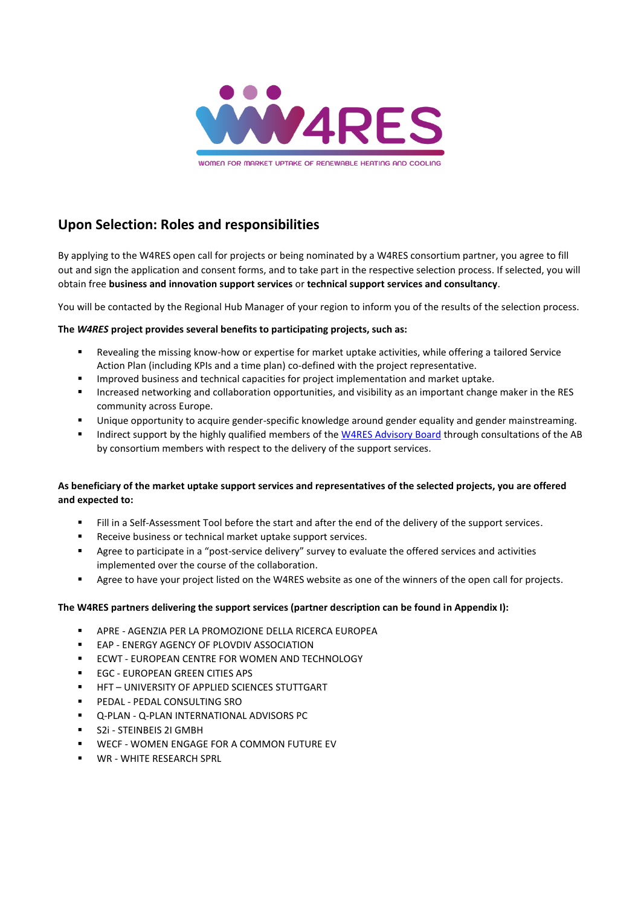

WOMEN FOR MARKET UPTAKE OF RENEWABLE HEATING AND COOLING

## **Upon Selection: Roles and responsibilities**

By applying to the W4RES open call for projects or being nominated by a W4RES consortium partner, you agree to fill out and sign the application and consent forms, and to take part in the respective selection process. If selected, you will obtain free **business and innovation support services** or **technical support services and consultancy**.

You will be contacted by the Regional Hub Manager of your region to inform you of the results of the selection process.

## **The** *W4RES* **project provides several benefits to participating projects, such as:**

- Revealing the missing know-how or expertise for market uptake activities, while offering a tailored Service Action Plan (including KPIs and a time plan) co-defined with the project representative.
- Improved business and technical capacities for project implementation and market uptake.
- Increased networking and collaboration opportunities, and visibility as an important change maker in the RES community across Europe.
- Unique opportunity to acquire gender-specific knowledge around gender equality and gender mainstreaming.
- Indirect support by the highly qualified members of the [W4RES Advisory Board](https://w4res.eu/about-us/advisory-board/) through consultations of the AB by consortium members with respect to the delivery of the support services.

## **As beneficiary of the market uptake support services and representatives of the selected projects, you are offered and expected to:**

- Fill in a Self-Assessment Tool before the start and after the end of the delivery of the support services.
- Receive business or technical market uptake support services.
- Agree to participate in a "post-service delivery" survey to evaluate the offered services and activities implemented over the course of the collaboration.
- Agree to have your project listed on the W4RES website as one of the winners of the open call for projects.

## **The W4RES partners delivering the support services (partner description can be found in Appendix I):**

- APRE AGENZIA PER LA PROMOZIONE DELLA RICERCA EUROPEA
- EAP ENERGY AGENCY OF PLOVDIV ASSOCIATION
- ECWT EUROPEAN CENTRE FOR WOMEN AND TECHNOLOGY
- **EGC EUROPEAN GREEN CITIES APS**
- **HFT UNIVERSITY OF APPLIED SCIENCES STUTTGART**
- PEDAL PEDAL CONSULTING SRO
- Q-PLAN Q-PLAN INTERNATIONAL ADVISORS PC
- S2i STEINBEIS 2I GMBH
- WECF WOMEN ENGAGE FOR A COMMON FUTURE EV
- WR WHITE RESEARCH SPRL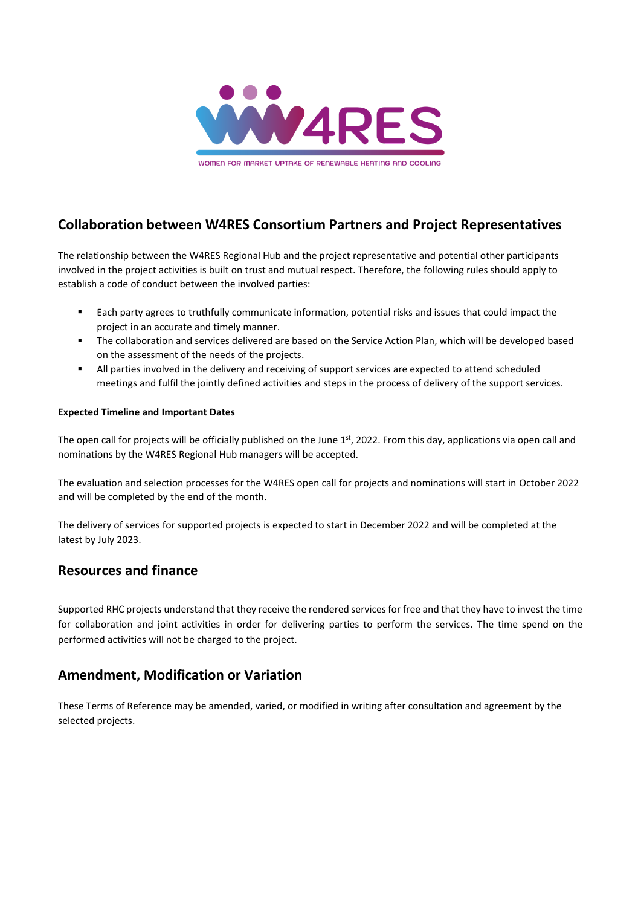

**Collaboration between W4RES Consortium Partners and Project Representatives**

The relationship between the W4RES Regional Hub and the project representative and potential other participants involved in the project activities is built on trust and mutual respect. Therefore, the following rules should apply to establish a code of conduct between the involved parties:

- Each party agrees to truthfully communicate information, potential risks and issues that could impact the project in an accurate and timely manner.
- The collaboration and services delivered are based on the Service Action Plan, which will be developed based on the assessment of the needs of the projects.
- All parties involved in the delivery and receiving of support services are expected to attend scheduled meetings and fulfil the jointly defined activities and steps in the process of delivery of the support services.

## **Expected Timeline and Important Dates**

The open call for projects will be officially published on the June  $1<sup>st</sup>$ , 2022. From this day, applications via open call and nominations by the W4RES Regional Hub managers will be accepted.

The evaluation and selection processes for the W4RES open call for projects and nominations will start in October 2022 and will be completed by the end of the month.

The delivery of services for supported projects is expected to start in December 2022 and will be completed at the latest by July 2023.

## **Resources and finance**

Supported RHC projects understand that they receive the rendered services for free and that they have to invest the time for collaboration and joint activities in order for delivering parties to perform the services. The time spend on the performed activities will not be charged to the project.

## **Amendment, Modification or Variation**

These Terms of Reference may be amended, varied, or modified in writing after consultation and agreement by the selected projects.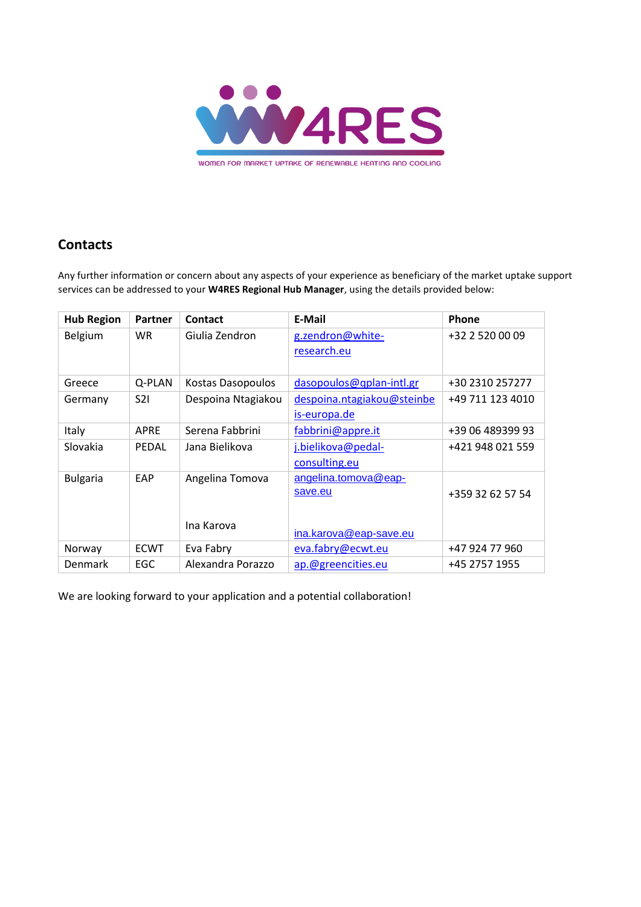

## **Contacts**

Any further information or concern about any aspects of your experience as beneficiary of the market uptake support services can be addressed to your **W4RES Regional Hub Manager**, using the details provided below:

| <b>Hub Region</b> | <b>Partner</b> | <b>Contact</b>     | E-Mail                     | <b>Phone</b>     |
|-------------------|----------------|--------------------|----------------------------|------------------|
| Belgium           | <b>WR</b>      | Giulia Zendron     | g.zendron@white-           | +32 2 520 00 09  |
|                   |                |                    | research.eu                |                  |
|                   |                |                    |                            |                  |
| Greece            | Q-PLAN         | Kostas Dasopoulos  | dasopoulos@qplan-intl.gr   | +30 2310 257277  |
| Germany           | S2I            | Despoina Ntagiakou | despoina.ntagiakou@steinbe | +49 711 123 4010 |
|                   |                |                    | is-europa.de               |                  |
| Italy             | <b>APRE</b>    | Serena Fabbrini    | fabbrini@appre.it          | +39 06 489399 93 |
| Slovakia          | <b>PEDAL</b>   | Jana Bielikova     | j.bielikova@pedal-         | +421 948 021 559 |
|                   |                |                    | consulting.eu              |                  |
| <b>Bulgaria</b>   | EAP            | Angelina Tomova    | angelina.tomova@eap-       |                  |
|                   |                |                    | save.eu                    | +359 32 62 57 54 |
|                   |                |                    |                            |                  |
|                   |                | Ina Karova         |                            |                  |
|                   |                |                    | ina.karova@eap-save.eu     |                  |
| Norway            | <b>ECWT</b>    | Eva Fabry          | eva.fabry@ecwt.eu          | +47 924 77 960   |
| Denmark           | EGC            | Alexandra Porazzo  | ap.@greencities.eu         | +45 2757 1955    |

We are looking forward to your application and a potential collaboration!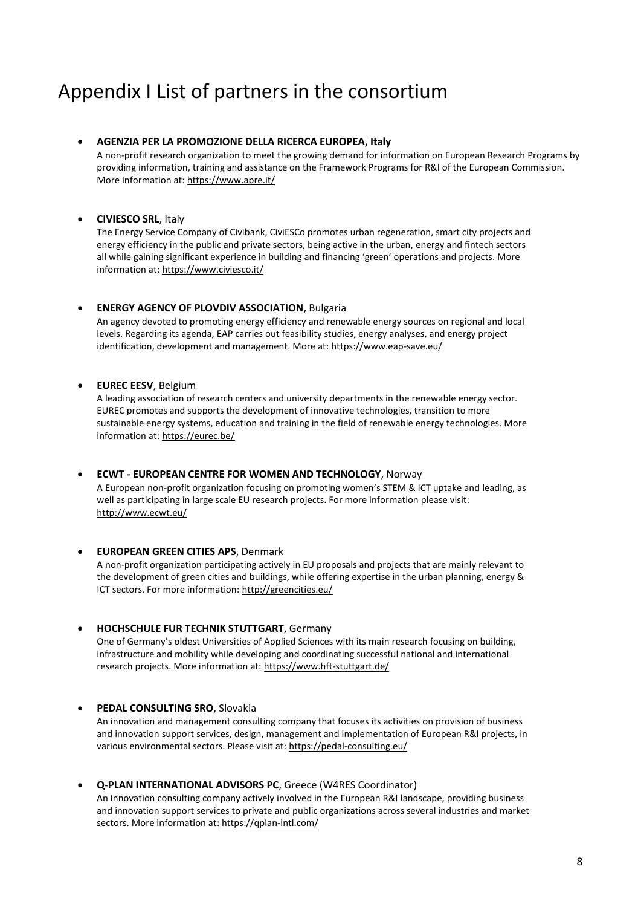## <span id="page-7-0"></span>Appendix I List of partners in the consortium

#### • **AGENZIA PER LA PROMOZIONE DELLA RICERCA EUROPEA, Italy**

A non-profit research organization to meet the growing demand for information on European Research Programs by providing information, training and assistance on the Framework Programs for R&I of the European Commission. More information at:<https://www.apre.it/>

### • **CIVIESCO SRL**, Italy

The Energy Service Company of Civibank, CiviESCo promotes urban regeneration, smart city projects and energy efficiency in the public and private sectors, being active in the urban, energy and fintech sectors all while gaining significant experience in building and financing 'green' operations and projects. More information at[: https://www.civiesco.it/](https://www.civiesco.it/)

#### **ENERGY AGENCY OF PLOVDIV ASSOCIATION, Bulgaria**

An agency devoted to promoting energy efficiency and renewable energy sources on regional and local levels. Regarding its agenda, EAP carries out feasibility studies, energy analyses, and energy project identification, development and management. More at[: https://www.eap-save.eu/](https://www.eap-save.eu/)

#### • **EUREC EESV**, Belgium

A leading association of research centers and university departments in the renewable energy sector. EUREC promotes and supports the development of innovative technologies, transition to more sustainable energy systems, education and training in the field of renewable energy technologies. More information at[: https://eurec.be/](https://eurec.be/)

#### • **ECWT - EUROPEAN CENTRE FOR WOMEN AND TECHNOLOGY**, Norway

A European non-profit organization focusing on promoting women's STEM & ICT uptake and leading, as well as participating in large scale EU research projects. For more information please visit: <http://www.ecwt.eu/>

#### • **EUROPEAN GREEN CITIES APS**, Denmark

A non-profit organization participating actively in EU proposals and projects that are mainly relevant to the development of green cities and buildings, while offering expertise in the urban planning, energy & ICT sectors. For more information[: http://greencities.eu/](http://greencities.eu/)

#### • **HOCHSCHULE FUR TECHNIK STUTTGART**, Germany

One of Germany's oldest Universities of Applied Sciences with its main research focusing on building, infrastructure and mobility while developing and coordinating successful national and international research projects. More information at:<https://www.hft-stuttgart.de/>

## • **PEDAL CONSULTING SRO**, Slovakia

An innovation and management consulting company that focuses its activities on provision of business and innovation support services, design, management and implementation of European R&I projects, in various environmental sectors. Please visit at[: https://pedal-consulting.eu/](https://pedal-consulting.eu/)

## • **Q-PLAN INTERNATIONAL ADVISORS PC**, Greece (W4RES Coordinator)

An innovation consulting company actively involved in the European R&I landscape, providing business and innovation support services to private and public organizations across several industries and market sectors. More information at:<https://qplan-intl.com/>